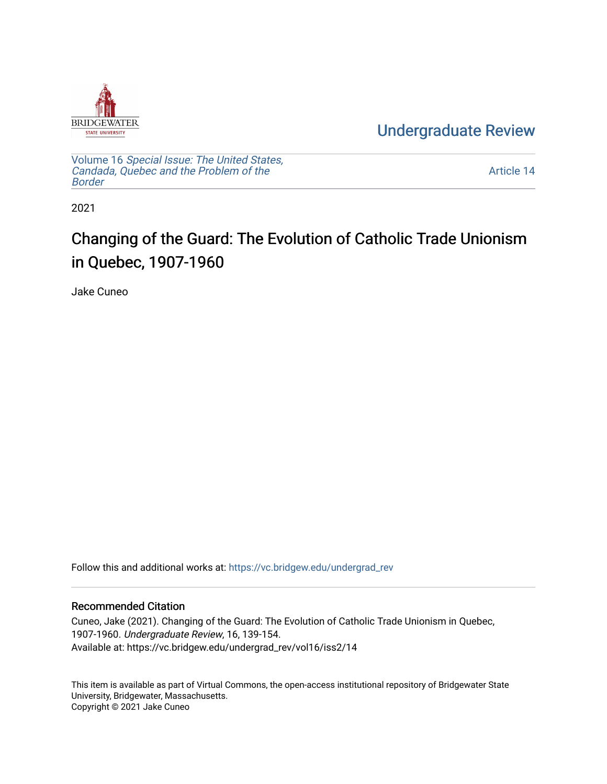

[Undergraduate Review](https://vc.bridgew.edu/undergrad_rev) 

Volume 16 [Special Issue: The United States,](https://vc.bridgew.edu/undergrad_rev/vol16)  [Candada, Quebec and the Problem of the](https://vc.bridgew.edu/undergrad_rev/vol16)  [Border](https://vc.bridgew.edu/undergrad_rev/vol16)

[Article 14](https://vc.bridgew.edu/undergrad_rev/vol16/iss2/14) 

2021

## Changing of the Guard: The Evolution of Catholic Trade Unionism in Quebec, 1907-1960

Jake Cuneo

Follow this and additional works at: [https://vc.bridgew.edu/undergrad\\_rev](https://vc.bridgew.edu/undergrad_rev?utm_source=vc.bridgew.edu%2Fundergrad_rev%2Fvol16%2Fiss2%2F14&utm_medium=PDF&utm_campaign=PDFCoverPages)

### Recommended Citation

Cuneo, Jake (2021). Changing of the Guard: The Evolution of Catholic Trade Unionism in Quebec, 1907-1960. Undergraduate Review, 16, 139-154. Available at: https://vc.bridgew.edu/undergrad\_rev/vol16/iss2/14

This item is available as part of Virtual Commons, the open-access institutional repository of Bridgewater State University, Bridgewater, Massachusetts. Copyright © 2021 Jake Cuneo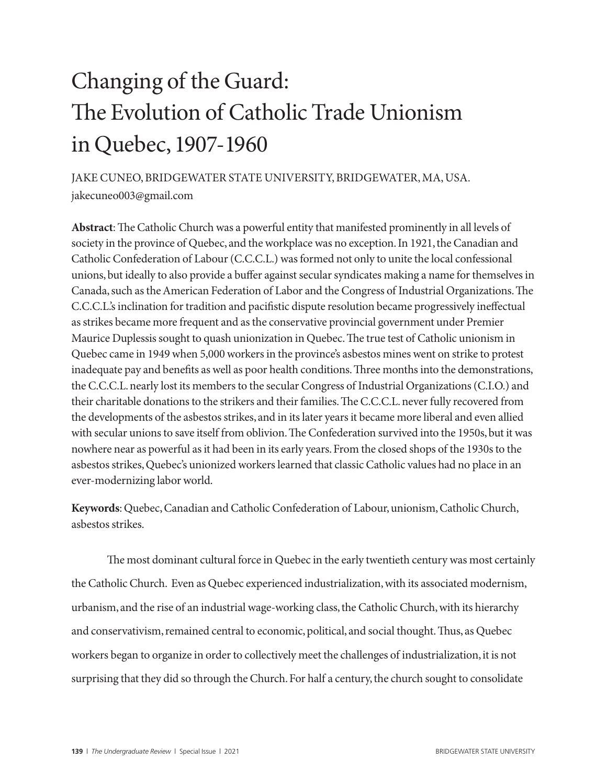# Changing of the Guard: The Evolution of Catholic Trade Unionism in Quebec, 1907-1960

JAKE CUNEO, BRIDGEWATER STATE UNIVERSITY, BRIDGEWATER, MA, USA. jakecuneo003@gmail.com

**Abstract**: The Catholic Church was a powerful entity that manifested prominently in all levels of society in the province of Quebec, and the workplace was no exception. In 1921, the Canadian and Catholic Confederation of Labour (C.C.C.L.) was formed not only to unite the local confessional unions, but ideally to also provide a buffer against secular syndicates making a name for themselves in Canada, such as the American Federation of Labor and the Congress of Industrial Organizations. The C.C.C.L.'s inclination for tradition and pacifistic dispute resolution became progressively ineffectual as strikes became more frequent and as the conservative provincial government under Premier Maurice Duplessis sought to quash unionization in Quebec. The true test of Catholic unionism in Quebec came in 1949 when 5,000 workers in the province's asbestos mines went on strike to protest inadequate pay and benefits as well as poor health conditions. Three months into the demonstrations, the C.C.C.L. nearly lost its members to the secular Congress of Industrial Organizations (C.I.O.) and their charitable donations to the strikers and their families. The C.C.C.L. never fully recovered from the developments of the asbestos strikes, and in its later years it became more liberal and even allied with secular unions to save itself from oblivion. The Confederation survived into the 1950s, but it was nowhere near as powerful as it had been in its early years. From the closed shops of the 1930s to the asbestos strikes, Quebec's unionized workers learned that classic Catholic values had no place in an ever-modernizing labor world.

**Keywords**: Quebec, Canadian and Catholic Confederation of Labour, unionism, Catholic Church, asbestos strikes.

The most dominant cultural force in Quebec in the early twentieth century was most certainly the Catholic Church. Even as Quebec experienced industrialization, with its associated modernism, urbanism, and the rise of an industrial wage-working class, the Catholic Church, with its hierarchy and conservativism, remained central to economic, political, and social thought. Thus, as Quebec workers began to organize in order to collectively meet the challenges of industrialization, it is not surprising that they did so through the Church. For half a century, the church sought to consolidate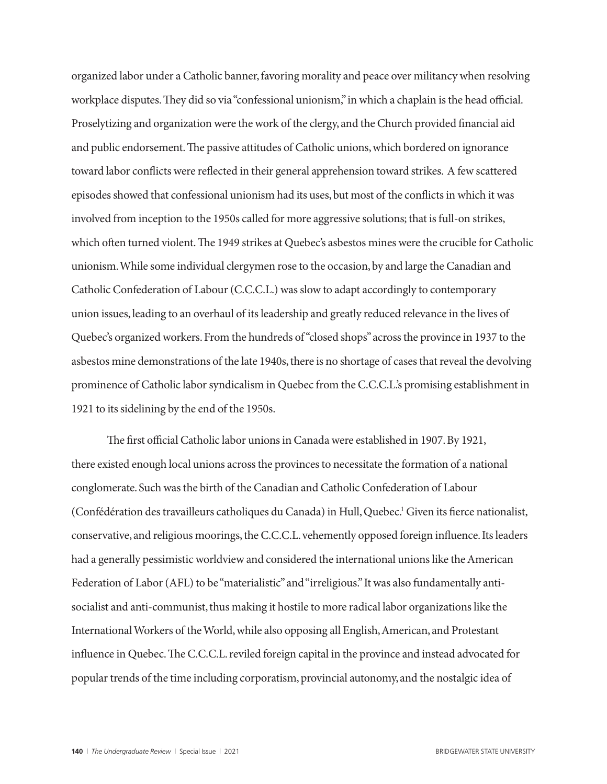organized labor under a Catholic banner, favoring morality and peace over militancy when resolving workplace disputes. They did so via "confessional unionism," in which a chaplain is the head official. Proselytizing and organization were the work of the clergy, and the Church provided financial aid and public endorsement. The passive attitudes of Catholic unions, which bordered on ignorance toward labor conflicts were reflected in their general apprehension toward strikes. A few scattered episodes showed that confessional unionism had its uses, but most of the conflicts in which it was involved from inception to the 1950s called for more aggressive solutions; that is full-on strikes, which often turned violent. The 1949 strikes at Quebec's asbestos mines were the crucible for Catholic unionism. While some individual clergymen rose to the occasion, by and large the Canadian and Catholic Confederation of Labour (C.C.C.L.) was slow to adapt accordingly to contemporary union issues, leading to an overhaul of its leadership and greatly reduced relevance in the lives of Quebec's organized workers. From the hundreds of "closed shops" across the province in 1937 to the asbestos mine demonstrations of the late 1940s, there is no shortage of cases that reveal the devolving prominence of Catholic labor syndicalism in Quebec from the C.C.C.L.'s promising establishment in 1921 to its sidelining by the end of the 1950s.

The first official Catholic labor unions in Canada were established in 1907. By 1921, there existed enough local unions across the provinces to necessitate the formation of a national conglomerate. Such was the birth of the Canadian and Catholic Confederation of Labour (Confédération des travailleurs catholiques du Canada) in Hull, Quebec.<sup>1</sup> Given its fierce nationalist, conservative, and religious moorings, the C.C.C.L. vehemently opposed foreign influence. Its leaders had a generally pessimistic worldview and considered the international unions like the American Federation of Labor (AFL) to be "materialistic" and "irreligious." It was also fundamentally antisocialist and anti-communist, thus making it hostile to more radical labor organizations like the International Workers of the World, while also opposing all English, American, and Protestant influence in Quebec. The C.C.C.L. reviled foreign capital in the province and instead advocated for popular trends of the time including corporatism, provincial autonomy, and the nostalgic idea of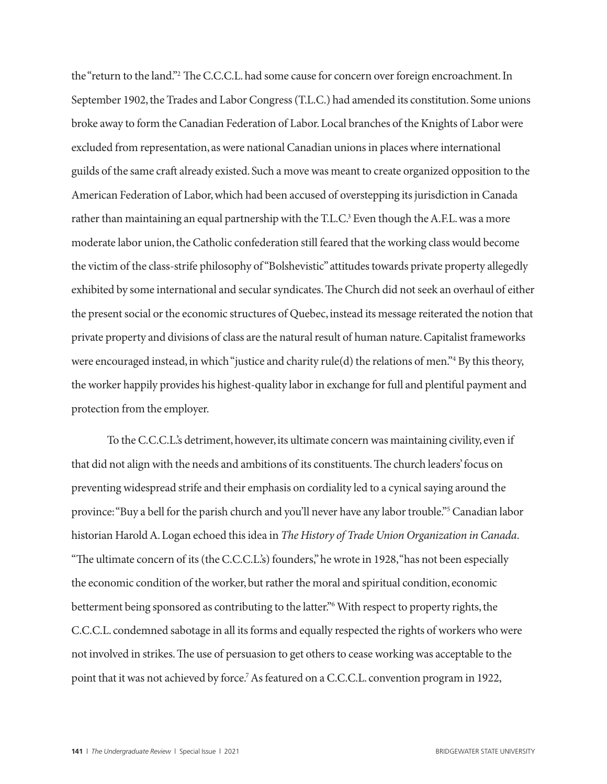the "return to the land."2 The C.C.C.L. had some cause for concern over foreign encroachment. In September 1902, the Trades and Labor Congress (T.L.C.) had amended its constitution. Some unions broke away to form the Canadian Federation of Labor. Local branches of the Knights of Labor were excluded from representation, as were national Canadian unions in places where international guilds of the same craft already existed. Such a move was meant to create organized opposition to the American Federation of Labor, which had been accused of overstepping its jurisdiction in Canada rather than maintaining an equal partnership with the T.L.C.<sup>3</sup> Even though the A.F.L. was a more moderate labor union, the Catholic confederation still feared that the working class would become the victim of the class-strife philosophy of "Bolshevistic" attitudes towards private property allegedly exhibited by some international and secular syndicates. The Church did not seek an overhaul of either the present social or the economic structures of Quebec, instead its message reiterated the notion that private property and divisions of class are the natural result of human nature. Capitalist frameworks were encouraged instead, in which "justice and charity rule(d) the relations of men."4 By this theory, the worker happily provides his highest-quality labor in exchange for full and plentiful payment and protection from the employer.

To the C.C.C.L.'s detriment, however, its ultimate concern was maintaining civility, even if that did not align with the needs and ambitions of its constituents. The church leaders' focus on preventing widespread strife and their emphasis on cordiality led to a cynical saying around the province: "Buy a bell for the parish church and you'll never have any labor trouble."5 Canadian labor historian Harold A. Logan echoed this idea in *The History of Trade Union Organization in Canada*. "The ultimate concern of its (the C.C.C.L.'s) founders," he wrote in 1928, "has not been especially the economic condition of the worker, but rather the moral and spiritual condition, economic betterment being sponsored as contributing to the latter."6 With respect to property rights, the C.C.C.L. condemned sabotage in all its forms and equally respected the rights of workers who were not involved in strikes. The use of persuasion to get others to cease working was acceptable to the point that it was not achieved by force.<sup>7</sup> As featured on a C.C.C.L. convention program in 1922,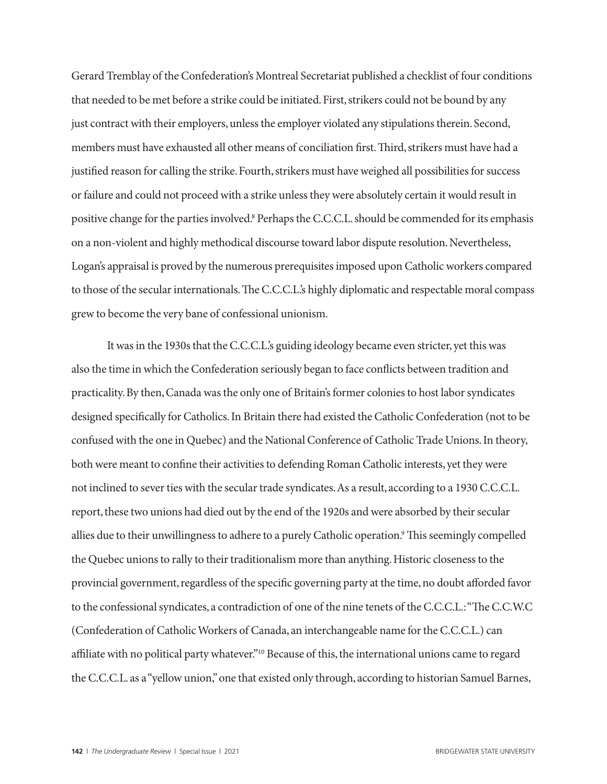Gerard Tremblay of the Confederation's Montreal Secretariat published a checklist of four conditions that needed to be met before a strike could be initiated. First, strikers could not be bound by any just contract with their employers, unless the employer violated any stipulations therein. Second, members must have exhausted all other means of conciliation first. Third, strikers must have had a justified reason for calling the strike. Fourth, strikers must have weighed all possibilities for success or failure and could not proceed with a strike unless they were absolutely certain it would result in positive change for the parties involved.<sup>8</sup> Perhaps the C.C.C.L. should be commended for its emphasis on a non-violent and highly methodical discourse toward labor dispute resolution. Nevertheless, Logan's appraisal is proved by the numerous prerequisites imposed upon Catholic workers compared to those of the secular internationals. The C.C.C.L.'s highly diplomatic and respectable moral compass grew to become the very bane of confessional unionism.

It was in the 1930s that the C.C.C.L.'s guiding ideology became even stricter, yet this was also the time in which the Confederation seriously began to face conflicts between tradition and practicality. By then, Canada was the only one of Britain's former colonies to host labor syndicates designed specifically for Catholics. In Britain there had existed the Catholic Confederation (not to be confused with the one in Quebec) and the National Conference of Catholic Trade Unions. In theory, both were meant to confine their activities to defending Roman Catholic interests, yet they were not inclined to sever ties with the secular trade syndicates. As a result, according to a 1930 C.C.C.L. report, these two unions had died out by the end of the 1920s and were absorbed by their secular allies due to their unwillingness to adhere to a purely Catholic operation.<sup>9</sup> This seemingly compelled the Quebec unions to rally to their traditionalism more than anything. Historic closeness to the provincial government, regardless of the specific governing party at the time, no doubt afforded favor to the confessional syndicates, a contradiction of one of the nine tenets of the C.C.C.L.: "The C.C.W.C (Confederation of Catholic Workers of Canada, an interchangeable name for the C.C.C.L.) can affiliate with no political party whatever."10 Because of this, the international unions came to regard the C.C.C.L. as a "yellow union," one that existed only through, according to historian Samuel Barnes,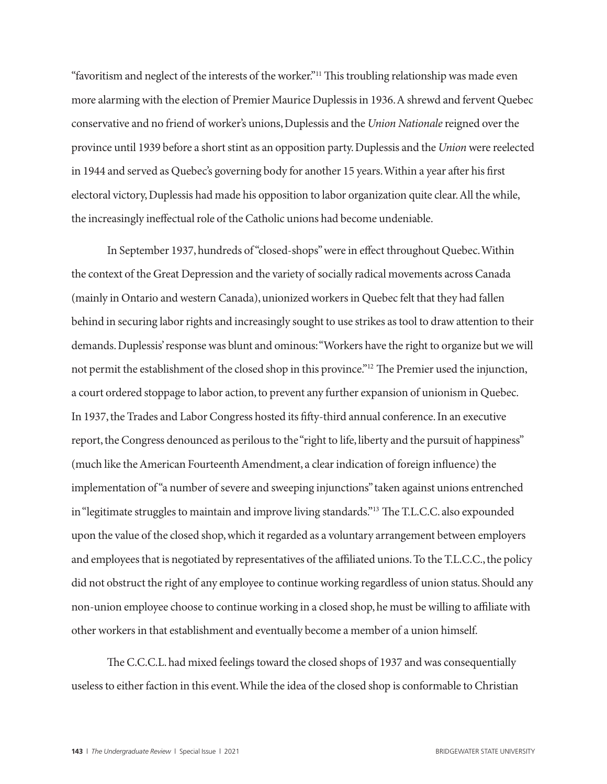"favoritism and neglect of the interests of the worker."11 This troubling relationship was made even more alarming with the election of Premier Maurice Duplessis in 1936. A shrewd and fervent Quebec conservative and no friend of worker's unions, Duplessis and the *Union Nationale* reigned over the province until 1939 before a short stint as an opposition party. Duplessis and the *Union* were reelected in 1944 and served as Quebec's governing body for another 15 years. Within a year after his first electoral victory, Duplessis had made his opposition to labor organization quite clear. All the while, the increasingly ineffectual role of the Catholic unions had become undeniable.

In September 1937, hundreds of "closed-shops" were in effect throughout Quebec. Within the context of the Great Depression and the variety of socially radical movements across Canada (mainly in Ontario and western Canada), unionized workers in Quebec felt that they had fallen behind in securing labor rights and increasingly sought to use strikes as tool to draw attention to their demands. Duplessis' response was blunt and ominous: "Workers have the right to organize but we will not permit the establishment of the closed shop in this province."12 The Premier used the injunction, a court ordered stoppage to labor action, to prevent any further expansion of unionism in Quebec. In 1937, the Trades and Labor Congress hosted its fifty-third annual conference. In an executive report, the Congress denounced as perilous to the "right to life, liberty and the pursuit of happiness" (much like the American Fourteenth Amendment, a clear indication of foreign influence) the implementation of "a number of severe and sweeping injunctions" taken against unions entrenched in "legitimate struggles to maintain and improve living standards."13 The T.L.C.C. also expounded upon the value of the closed shop, which it regarded as a voluntary arrangement between employers and employees that is negotiated by representatives of the affiliated unions. To the T.L.C.C., the policy did not obstruct the right of any employee to continue working regardless of union status. Should any non-union employee choose to continue working in a closed shop, he must be willing to affiliate with other workers in that establishment and eventually become a member of a union himself.

The C.C.C.L. had mixed feelings toward the closed shops of 1937 and was consequentially useless to either faction in this event. While the idea of the closed shop is conformable to Christian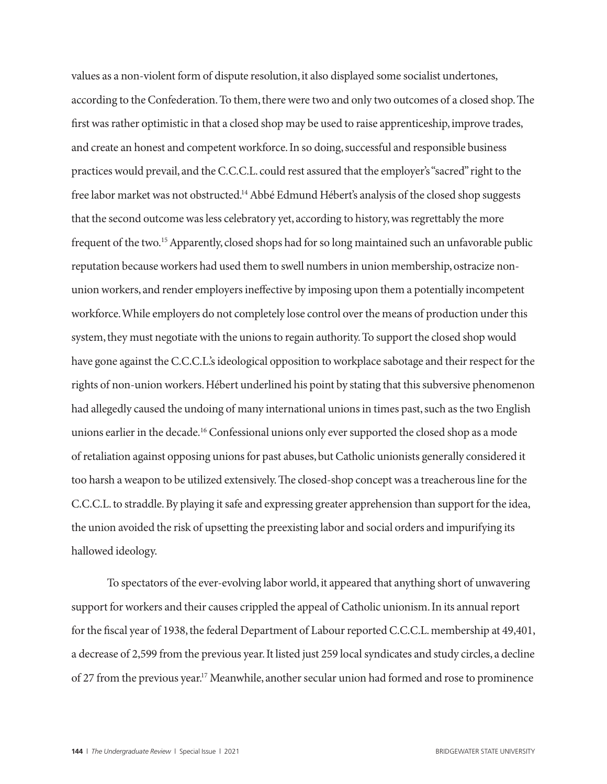values as a non-violent form of dispute resolution, it also displayed some socialist undertones, according to the Confederation. To them, there were two and only two outcomes of a closed shop. The first was rather optimistic in that a closed shop may be used to raise apprenticeship, improve trades, and create an honest and competent workforce. In so doing, successful and responsible business practices would prevail, and the C.C.C.L. could rest assured that the employer's "sacred" right to the free labor market was not obstructed.14 Abbé Edmund Hébert's analysis of the closed shop suggests that the second outcome was less celebratory yet, according to history, was regrettably the more frequent of the two.15 Apparently, closed shops had for so long maintained such an unfavorable public reputation because workers had used them to swell numbers in union membership, ostracize nonunion workers, and render employers ineffective by imposing upon them a potentially incompetent workforce. While employers do not completely lose control over the means of production under this system, they must negotiate with the unions to regain authority. To support the closed shop would have gone against the C.C.C.L.'s ideological opposition to workplace sabotage and their respect for the rights of non-union workers. Hébert underlined his point by stating that this subversive phenomenon had allegedly caused the undoing of many international unions in times past, such as the two English unions earlier in the decade.<sup>16</sup> Confessional unions only ever supported the closed shop as a mode of retaliation against opposing unions for past abuses, but Catholic unionists generally considered it too harsh a weapon to be utilized extensively. The closed-shop concept was a treacherous line for the C.C.C.L. to straddle. By playing it safe and expressing greater apprehension than support for the idea, the union avoided the risk of upsetting the preexisting labor and social orders and impurifying its hallowed ideology.

To spectators of the ever-evolving labor world, it appeared that anything short of unwavering support for workers and their causes crippled the appeal of Catholic unionism. In its annual report for the fiscal year of 1938, the federal Department of Labour reported C.C.C.L. membership at 49,401, a decrease of 2,599 from the previous year. It listed just 259 local syndicates and study circles, a decline of 27 from the previous year.<sup>17</sup> Meanwhile, another secular union had formed and rose to prominence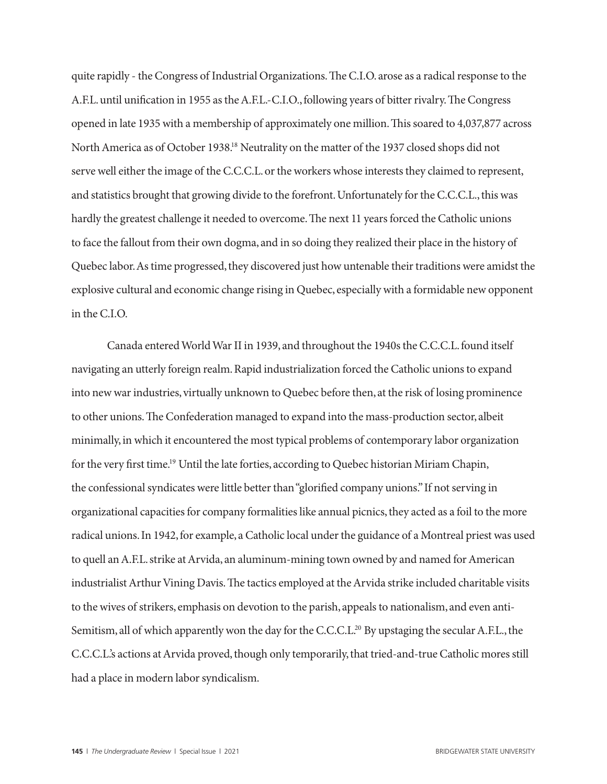quite rapidly - the Congress of Industrial Organizations. The C.I.O. arose as a radical response to the A.F.L. until unification in 1955 as the A.F.L.-C.I.O., following years of bitter rivalry. The Congress opened in late 1935 with a membership of approximately one million. This soared to 4,037,877 across North America as of October 1938.18 Neutrality on the matter of the 1937 closed shops did not serve well either the image of the C.C.C.L. or the workers whose interests they claimed to represent, and statistics brought that growing divide to the forefront. Unfortunately for the C.C.C.L., this was hardly the greatest challenge it needed to overcome. The next 11 years forced the Catholic unions to face the fallout from their own dogma, and in so doing they realized their place in the history of Quebec labor. As time progressed, they discovered just how untenable their traditions were amidst the explosive cultural and economic change rising in Quebec, especially with a formidable new opponent in the C.I.O.

Canada entered World War II in 1939, and throughout the 1940s the C.C.C.L. found itself navigating an utterly foreign realm. Rapid industrialization forced the Catholic unions to expand into new war industries, virtually unknown to Quebec before then, at the risk of losing prominence to other unions. The Confederation managed to expand into the mass-production sector, albeit minimally, in which it encountered the most typical problems of contemporary labor organization for the very first time.19 Until the late forties, according to Quebec historian Miriam Chapin, the confessional syndicates were little better than "glorified company unions." If not serving in organizational capacities for company formalities like annual picnics, they acted as a foil to the more radical unions. In 1942, for example, a Catholic local under the guidance of a Montreal priest was used to quell an A.F.L. strike at Arvida, an aluminum-mining town owned by and named for American industrialist Arthur Vining Davis. The tactics employed at the Arvida strike included charitable visits to the wives of strikers, emphasis on devotion to the parish, appeals to nationalism, and even anti-Semitism, all of which apparently won the day for the C.C.C.L.<sup>20</sup> By upstaging the secular A.F.L., the C.C.C.L.'s actions at Arvida proved, though only temporarily, that tried-and-true Catholic mores still had a place in modern labor syndicalism.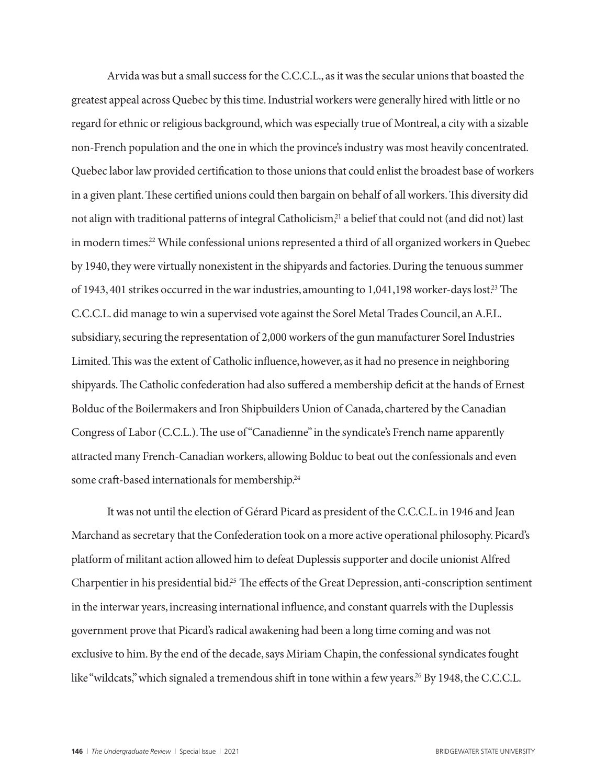Arvida was but a small success for the C.C.C.L., as it was the secular unions that boasted the greatest appeal across Quebec by this time. Industrial workers were generally hired with little or no regard for ethnic or religious background, which was especially true of Montreal, a city with a sizable non-French population and the one in which the province's industry was most heavily concentrated. Quebec labor law provided certification to those unions that could enlist the broadest base of workers in a given plant. These certified unions could then bargain on behalf of all workers. This diversity did not align with traditional patterns of integral Catholicism,<sup>21</sup> a belief that could not (and did not) last in modern times.<sup>22</sup> While confessional unions represented a third of all organized workers in Quebec by 1940, they were virtually nonexistent in the shipyards and factories. During the tenuous summer of 1943, 401 strikes occurred in the war industries, amounting to 1,041,198 worker-days lost.<sup>23</sup> The C.C.C.L. did manage to win a supervised vote against the Sorel Metal Trades Council, an A.F.L. subsidiary, securing the representation of 2,000 workers of the gun manufacturer Sorel Industries Limited. This was the extent of Catholic influence, however, as it had no presence in neighboring shipyards. The Catholic confederation had also suffered a membership deficit at the hands of Ernest Bolduc of the Boilermakers and Iron Shipbuilders Union of Canada, chartered by the Canadian Congress of Labor (C.C.L.). The use of "Canadienne" in the syndicate's French name apparently attracted many French-Canadian workers, allowing Bolduc to beat out the confessionals and even some craft-based internationals for membership.<sup>24</sup>

It was not until the election of Gérard Picard as president of the C.C.C.L. in 1946 and Jean Marchand as secretary that the Confederation took on a more active operational philosophy. Picard's platform of militant action allowed him to defeat Duplessis supporter and docile unionist Alfred Charpentier in his presidential bid.25 The effects of the Great Depression, anti-conscription sentiment in the interwar years, increasing international influence, and constant quarrels with the Duplessis government prove that Picard's radical awakening had been a long time coming and was not exclusive to him. By the end of the decade, says Miriam Chapin, the confessional syndicates fought like "wildcats," which signaled a tremendous shift in tone within a few years.<sup>26</sup> By 1948, the C.C.C.L.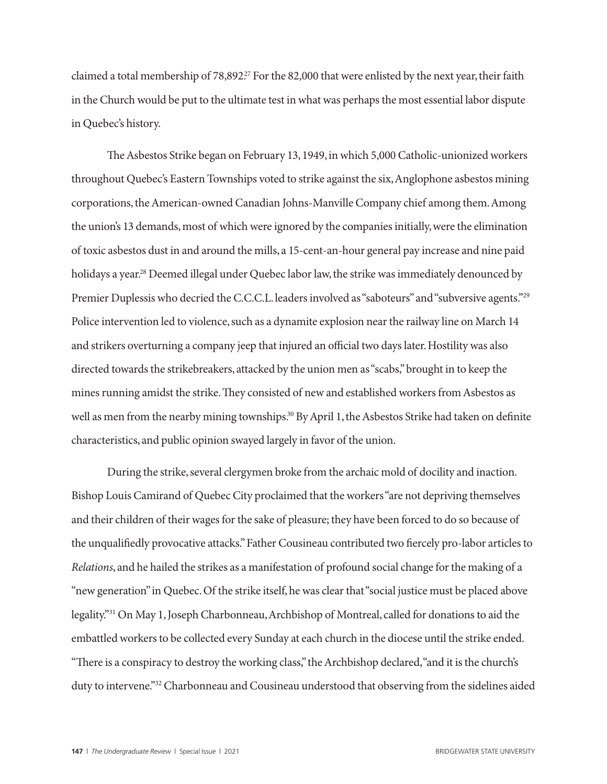claimed a total membership of 78,892.<sup>27</sup> For the 82,000 that were enlisted by the next year, their faith in the Church would be put to the ultimate test in what was perhaps the most essential labor dispute in Quebec's history.

The Asbestos Strike began on February 13, 1949, in which 5,000 Catholic-unionized workers throughout Quebec's Eastern Townships voted to strike against the six, Anglophone asbestos mining corporations, the American-owned Canadian Johns-Manville Company chief among them. Among the union's 13 demands, most of which were ignored by the companies initially, were the elimination of toxic asbestos dust in and around the mills, a 15-cent-an-hour general pay increase and nine paid holidays a year.<sup>28</sup> Deemed illegal under Quebec labor law, the strike was immediately denounced by Premier Duplessis who decried the C.C.C.L. leaders involved as "saboteurs" and "subversive agents."29 Police intervention led to violence, such as a dynamite explosion near the railway line on March 14 and strikers overturning a company jeep that injured an official two days later. Hostility was also directed towards the strikebreakers, attacked by the union men as "scabs," brought in to keep the mines running amidst the strike. They consisted of new and established workers from Asbestos as well as men from the nearby mining townships.<sup>30</sup> By April 1, the Asbestos Strike had taken on definite characteristics, and public opinion swayed largely in favor of the union.

During the strike, several clergymen broke from the archaic mold of docility and inaction. Bishop Louis Camirand of Quebec City proclaimed that the workers "are not depriving themselves and their children of their wages for the sake of pleasure; they have been forced to do so because of the unqualifiedly provocative attacks." Father Cousineau contributed two fiercely pro-labor articles to *Relations*, and he hailed the strikes as a manifestation of profound social change for the making of a "new generation" in Quebec. Of the strike itself, he was clear that "social justice must be placed above legality."31 On May 1, Joseph Charbonneau, Archbishop of Montreal, called for donations to aid the embattled workers to be collected every Sunday at each church in the diocese until the strike ended. "There is a conspiracy to destroy the working class," the Archbishop declared, "and it is the church's duty to intervene."<sup>32</sup> Charbonneau and Cousineau understood that observing from the sidelines aided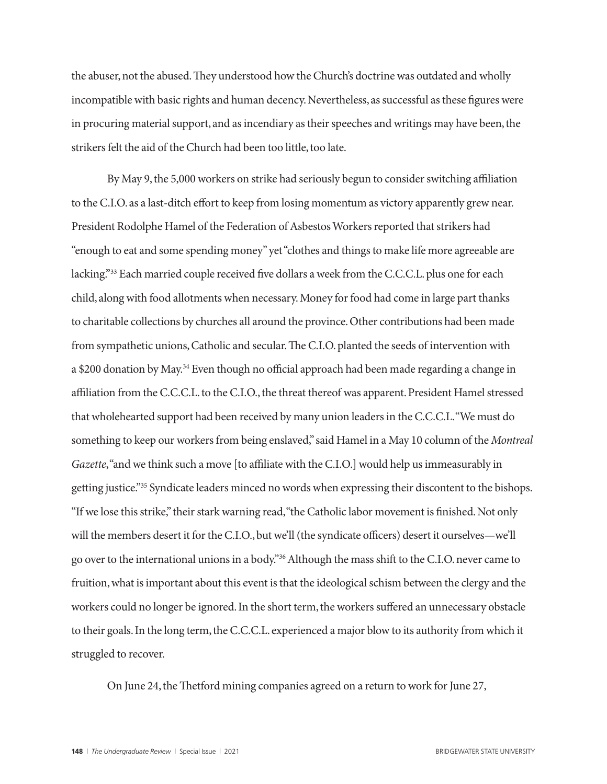the abuser, not the abused. They understood how the Church's doctrine was outdated and wholly incompatible with basic rights and human decency. Nevertheless, as successful as these figures were in procuring material support, and as incendiary as their speeches and writings may have been, the strikers felt the aid of the Church had been too little, too late.

By May 9, the 5,000 workers on strike had seriously begun to consider switching affiliation to the C.I.O. as a last-ditch effort to keep from losing momentum as victory apparently grew near. President Rodolphe Hamel of the Federation of Asbestos Workers reported that strikers had "enough to eat and some spending money" yet "clothes and things to make life more agreeable are lacking."33 Each married couple received five dollars a week from the C.C.C.L. plus one for each child, along with food allotments when necessary. Money for food had come in large part thanks to charitable collections by churches all around the province. Other contributions had been made from sympathetic unions, Catholic and secular. The C.I.O. planted the seeds of intervention with a \$200 donation by May.<sup>34</sup> Even though no official approach had been made regarding a change in affiliation from the C.C.C.L. to the C.I.O., the threat thereof was apparent. President Hamel stressed that wholehearted support had been received by many union leaders in the C.C.C.L. "We must do something to keep our workers from being enslaved," said Hamel in a May 10 column of the *Montreal Gazette*, "and we think such a move [to affiliate with the C.I.O.] would help us immeasurably in getting justice."35 Syndicate leaders minced no words when expressing their discontent to the bishops. "If we lose this strike," their stark warning read, "the Catholic labor movement is finished. Not only will the members desert it for the C.I.O., but we'll (the syndicate officers) desert it ourselves—we'll go over to the international unions in a body."36 Although the mass shift to the C.I.O. never came to fruition, what is important about this event is that the ideological schism between the clergy and the workers could no longer be ignored. In the short term, the workers suffered an unnecessary obstacle to their goals. In the long term, the C.C.C.L. experienced a major blow to its authority from which it struggled to recover.

On June 24, the Thetford mining companies agreed on a return to work for June 27,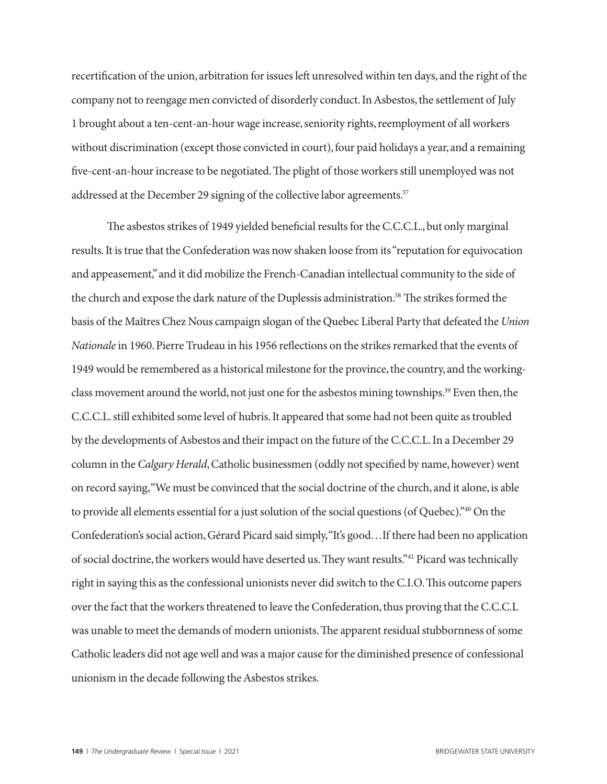recertification of the union, arbitration for issues left unresolved within ten days, and the right of the company not to reengage men convicted of disorderly conduct. In Asbestos, the settlement of July 1 brought about a ten-cent-an-hour wage increase, seniority rights, reemployment of all workers without discrimination (except those convicted in court), four paid holidays a year, and a remaining five-cent-an-hour increase to be negotiated. The plight of those workers still unemployed was not addressed at the December 29 signing of the collective labor agreements.<sup>37</sup>

The asbestos strikes of 1949 yielded beneficial results for the C.C.C.L., but only marginal results. It is true that the Confederation was now shaken loose from its "reputation for equivocation and appeasement," and it did mobilize the French-Canadian intellectual community to the side of the church and expose the dark nature of the Duplessis administration.38 The strikes formed the basis of the Maîtres Chez Nous campaign slogan of the Quebec Liberal Party that defeated the *Union Nationale* in 1960. Pierre Trudeau in his 1956 reflections on the strikes remarked that the events of 1949 would be remembered as a historical milestone for the province, the country, and the workingclass movement around the world, not just one for the asbestos mining townships.39 Even then, the C.C.C.L. still exhibited some level of hubris. It appeared that some had not been quite as troubled by the developments of Asbestos and their impact on the future of the C.C.C.L. In a December 29 column in the *Calgary Herald*, Catholic businessmen (oddly not specified by name, however) went on record saying, "We must be convinced that the social doctrine of the church, and it alone, is able to provide all elements essential for a just solution of the social questions (of Quebec)."40 On the Confederation's social action, Gérard Picard said simply, "It's good…If there had been no application of social doctrine, the workers would have deserted us. They want results."41 Picard was technically right in saying this as the confessional unionists never did switch to the C.I.O. This outcome papers over the fact that the workers threatened to leave the Confederation, thus proving that the C.C.C.L was unable to meet the demands of modern unionists. The apparent residual stubbornness of some Catholic leaders did not age well and was a major cause for the diminished presence of confessional unionism in the decade following the Asbestos strikes.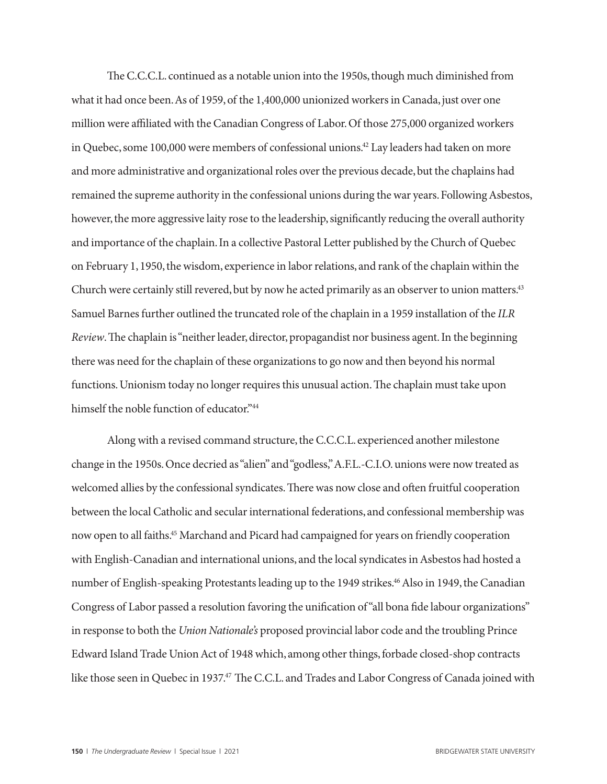The C.C.C.L. continued as a notable union into the 1950s, though much diminished from what it had once been. As of 1959, of the 1,400,000 unionized workers in Canada, just over one million were affiliated with the Canadian Congress of Labor. Of those 275,000 organized workers in Quebec, some 100,000 were members of confessional unions.<sup>42</sup> Lay leaders had taken on more and more administrative and organizational roles over the previous decade, but the chaplains had remained the supreme authority in the confessional unions during the war years. Following Asbestos, however, the more aggressive laity rose to the leadership, significantly reducing the overall authority and importance of the chaplain. In a collective Pastoral Letter published by the Church of Quebec on February 1, 1950, the wisdom, experience in labor relations, and rank of the chaplain within the Church were certainly still revered, but by now he acted primarily as an observer to union matters.<sup>43</sup> Samuel Barnes further outlined the truncated role of the chaplain in a 1959 installation of the *ILR Review*. The chaplain is "neither leader, director, propagandist nor business agent. In the beginning there was need for the chaplain of these organizations to go now and then beyond his normal functions. Unionism today no longer requires this unusual action. The chaplain must take upon himself the noble function of educator."<sup>44</sup>

Along with a revised command structure, the C.C.C.L. experienced another milestone change in the 1950s. Once decried as "alien" and "godless," A.F.L.-C.I.O. unions were now treated as welcomed allies by the confessional syndicates. There was now close and often fruitful cooperation between the local Catholic and secular international federations, and confessional membership was now open to all faiths.45 Marchand and Picard had campaigned for years on friendly cooperation with English-Canadian and international unions, and the local syndicates in Asbestos had hosted a number of English-speaking Protestants leading up to the 1949 strikes.<sup>46</sup> Also in 1949, the Canadian Congress of Labor passed a resolution favoring the unification of "all bona fide labour organizations" in response to both the *Union Nationale's* proposed provincial labor code and the troubling Prince Edward Island Trade Union Act of 1948 which, among other things, forbade closed-shop contracts like those seen in Quebec in 1937.<sup>47</sup> The C.C.L. and Trades and Labor Congress of Canada joined with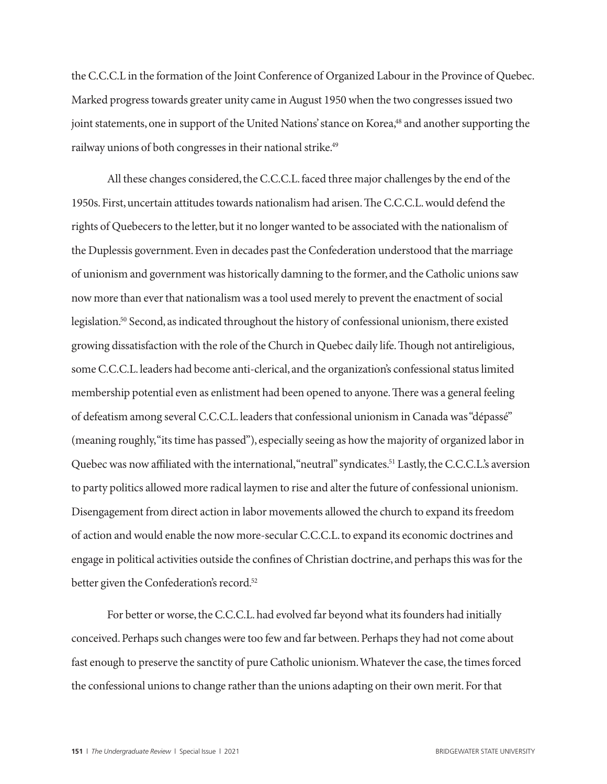the C.C.C.L in the formation of the Joint Conference of Organized Labour in the Province of Quebec. Marked progress towards greater unity came in August 1950 when the two congresses issued two joint statements, one in support of the United Nations' stance on Korea,<sup>48</sup> and another supporting the railway unions of both congresses in their national strike.<sup>49</sup>

All these changes considered, the C.C.C.L. faced three major challenges by the end of the 1950s. First, uncertain attitudes towards nationalism had arisen. The C.C.C.L. would defend the rights of Quebecers to the letter, but it no longer wanted to be associated with the nationalism of the Duplessis government. Even in decades past the Confederation understood that the marriage of unionism and government was historically damning to the former, and the Catholic unions saw now more than ever that nationalism was a tool used merely to prevent the enactment of social legislation.50 Second, as indicated throughout the history of confessional unionism, there existed growing dissatisfaction with the role of the Church in Quebec daily life. Though not antireligious, some C.C.C.L. leaders had become anti-clerical, and the organization's confessional status limited membership potential even as enlistment had been opened to anyone. There was a general feeling of defeatism among several C.C.C.L. leaders that confessional unionism in Canada was "dépassé" (meaning roughly, "its time has passed"), especially seeing as how the majority of organized labor in Quebec was now affiliated with the international, "neutral" syndicates.<sup>51</sup> Lastly, the C.C.C.L.'s aversion to party politics allowed more radical laymen to rise and alter the future of confessional unionism. Disengagement from direct action in labor movements allowed the church to expand its freedom of action and would enable the now more-secular C.C.C.L. to expand its economic doctrines and engage in political activities outside the confines of Christian doctrine, and perhaps this was for the better given the Confederation's record.<sup>52</sup>

For better or worse, the C.C.C.L. had evolved far beyond what its founders had initially conceived. Perhaps such changes were too few and far between. Perhaps they had not come about fast enough to preserve the sanctity of pure Catholic unionism. Whatever the case, the times forced the confessional unions to change rather than the unions adapting on their own merit. For that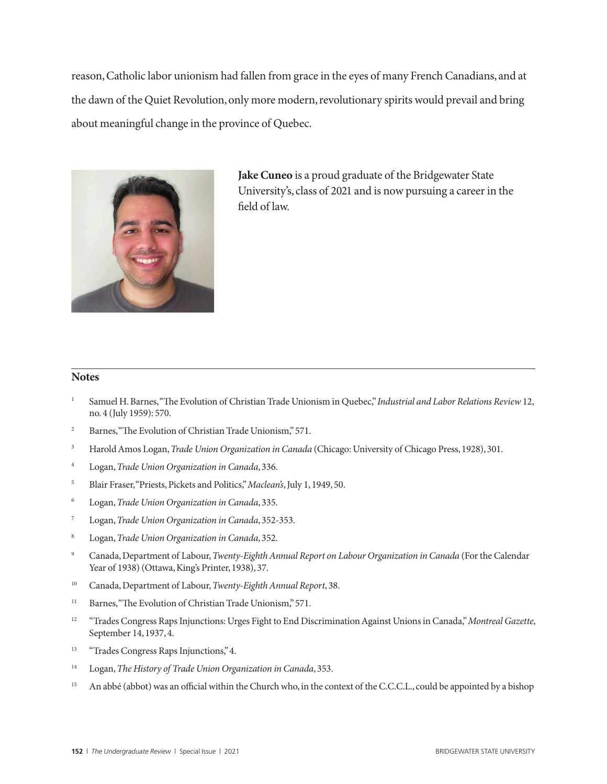reason, Catholic labor unionism had fallen from grace in the eyes of many French Canadians, and at the dawn of the Quiet Revolution, only more modern, revolutionary spirits would prevail and bring about meaningful change in the province of Quebec.



**Jake Cuneo** is a proud graduate of the Bridgewater State University's, class of 2021 and is now pursuing a career in the field of law.

#### **Notes**

- <sup>1</sup> Samuel H. Barnes, "The Evolution of Christian Trade Unionism in Quebec," *Industrial and Labor Relations Review* 12, no. 4 (July 1959): 570.
- <sup>2</sup> Barnes, "The Evolution of Christian Trade Unionism," 571.
- <sup>3</sup> Harold Amos Logan, *Trade Union Organization in Canada* (Chicago: University of Chicago Press, 1928), 301.
- <sup>4</sup> Logan, *Trade Union Organization in Canada*, 336.
- <sup>5</sup> Blair Fraser, "Priests, Pickets and Politics," *Maclean's*, July 1, 1949, 50.
- <sup>6</sup> Logan, *Trade Union Organization in Canada*, 335.
- <sup>7</sup> Logan, *Trade Union Organization in Canada*, 352-353.
- <sup>8</sup> Logan, *Trade Union Organization in Canada*, 352.
- <sup>9</sup> Canada, Department of Labour, *Twenty-Eighth Annual Report on Labour Organization in Canada* (For the Calendar Year of 1938) (Ottawa, King's Printer, 1938), 37.
- <sup>10</sup> Canada, Department of Labour, *Twenty-Eighth Annual Report*, 38.
- <sup>11</sup> Barnes, "The Evolution of Christian Trade Unionism," 571.
- <sup>12</sup> "Trades Congress Raps Injunctions: Urges Fight to End Discrimination Against Unions in Canada," *Montreal Gazette*, September 14, 1937, 4.
- <sup>13</sup> "Trades Congress Raps Injunctions," 4.
- <sup>14</sup> Logan, *The History of Trade Union Organization in Canada*, 353.
- <sup>15</sup> An abbé (abbot) was an official within the Church who, in the context of the C.C.C.L., could be appointed by a bishop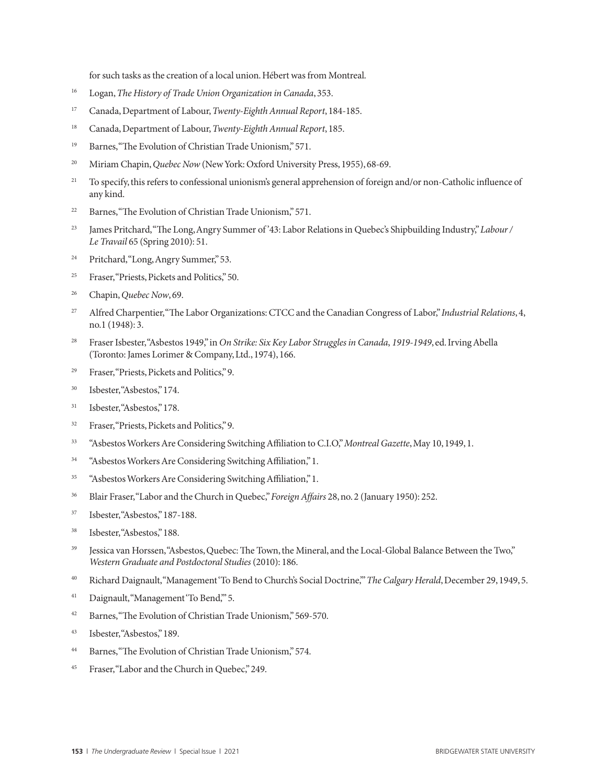for such tasks as the creation of a local union. Hébert was from Montreal.

- <sup>16</sup> Logan, *The History of Trade Union Organization in Canada*, 353.
- <sup>17</sup> Canada, Department of Labour, *Twenty-Eighth Annual Report*, 184-185.
- <sup>18</sup> Canada, Department of Labour, *Twenty-Eighth Annual Report*, 185.
- <sup>19</sup> Barnes, "The Evolution of Christian Trade Unionism," 571.
- <sup>20</sup> Miriam Chapin, *Quebec Now* (New York: Oxford University Press, 1955), 68-69.
- <sup>21</sup> To specify, this refers to confessional unionism's general apprehension of foreign and/or non-Catholic influence of any kind.
- <sup>22</sup> Barnes, "The Evolution of Christian Trade Unionism," 571.
- <sup>23</sup> James Pritchard, "The Long, Angry Summer of '43: Labor Relations in Quebec's Shipbuilding Industry," *Labour / Le Travail* 65 (Spring 2010): 51.
- <sup>24</sup> Pritchard, "Long, Angry Summer," 53.
- <sup>25</sup> Fraser, "Priests, Pickets and Politics," 50.
- <sup>26</sup> Chapin, *Quebec Now*, 69.
- <sup>27</sup> Alfred Charpentier, "The Labor Organizations: CTCC and the Canadian Congress of Labor," *Industrial Relations*, 4, no.1 (1948): 3.
- <sup>28</sup> Fraser Isbester, "Asbestos 1949," in *On Strike: Six Key Labor Struggles in Canada*, *1919-1949*, ed. Irving Abella (Toronto: James Lorimer & Company, Ltd., 1974), 166.
- <sup>29</sup> Fraser, "Priests, Pickets and Politics," 9.
- <sup>30</sup> Isbester, "Asbestos," 174.
- <sup>31</sup> Isbester, "Asbestos," 178.
- <sup>32</sup> Fraser, "Priests, Pickets and Politics," 9.
- <sup>33</sup> "Asbestos Workers Are Considering Switching Affiliation to C.I.O," *Montreal Gazette*, May 10, 1949, 1.
- <sup>34</sup> "Asbestos Workers Are Considering Switching Affiliation," 1.
- <sup>35</sup> "Asbestos Workers Are Considering Switching Affiliation," 1.
- <sup>36</sup> Blair Fraser, "Labor and the Church in Quebec," *Foreign Affairs* 28, no. 2 (January 1950): 252.
- <sup>37</sup> Isbester, "Asbestos," 187-188.
- <sup>38</sup> Isbester, "Asbestos," 188.
- <sup>39</sup> Jessica van Horssen, "Asbestos, Quebec: The Town, the Mineral, and the Local-Global Balance Between the Two," *Western Graduate and Postdoctoral Studies* (2010): 186.
- <sup>40</sup> Richard Daignault, "Management 'To Bend to Church's Social Doctrine,'" *The Calgary Herald*, December 29, 1949, 5.
- <sup>41</sup> Daignault, "Management 'To Bend," 5.
- <sup>42</sup> Barnes, "The Evolution of Christian Trade Unionism," 569-570.
- <sup>43</sup> Isbester, "Asbestos," 189.
- <sup>44</sup> Barnes, "The Evolution of Christian Trade Unionism," 574.
- <sup>45</sup> Fraser, "Labor and the Church in Quebec," 249.